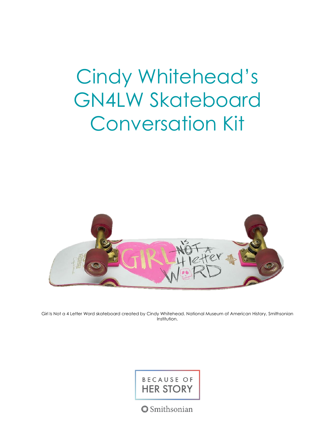# Cindy Whitehead's GN4LW Skateboard Conversation Kit



Girl Is Not a 4 Letter Word skateboard created by Cindy Whitehead. National Museum of American History, Smithsonian Institution.

### BECAUSE OF **HER STORY**

**Smithsonian**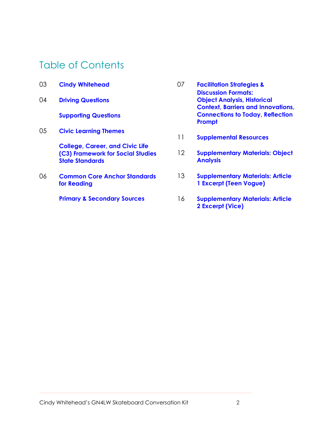### Table of Contents

| 03 | <b>Cindy Whitehead</b>                                      | 07 | <b>Facilitation Strategies &amp;</b><br><b>Discussion Formats:</b>              |
|----|-------------------------------------------------------------|----|---------------------------------------------------------------------------------|
| 04 | <b>Driving Questions</b>                                    |    | <b>Object Analysis, Historical</b><br><b>Context, Barriers and Innovations,</b> |
|    | <b>Supporting Questions</b>                                 |    | <b>Connections to Today, Reflection</b><br>Prompt                               |
| 05 | <b>Civic Learning Themes</b>                                | 11 | <b>Supplemental Resources</b>                                                   |
|    | <b>College, Career, and Civic Life</b>                      |    |                                                                                 |
|    | (C3) Framework for Social Studies<br><b>State Standards</b> | 12 | <b>Supplementary Materials: Object</b><br><b>Analysis</b>                       |
| 06 | <b>Common Core Anchor Standards</b><br>for Reading          | 13 | <b>Supplementary Materials: Article</b><br>1 Excerpt (Teen Vogue)               |
|    | <b>Primary &amp; Secondary Sources</b>                      | 16 | <b>Supplementary Materials: Article</b><br>2 Excerpt (Vice)                     |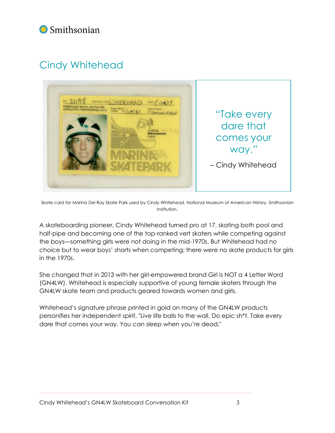### Smithsonian

### <span id="page-2-0"></span>Cindy Whitehead



Skate card for Marina Del Ray Skate Park used by Cindy Whitehead. National Museum of American History, Smithsonian Institution.

A skateboarding pioneer, Cindy Whitehead turned pro at 17, skating both pool and half-pipe and becoming one of the top-ranked vert skaters while competing against the boys—something girls were not doing in the mid-1970s. But Whitehead had no choice but to wear boys' shorts when competing; there were no skate products for girls in the 1970s.

She changed that in 2013 with her girl-empowered brand Girl is NOT a 4 Letter Word (GN4LW). Whitehead is especially supportive of young female skaters through the GN4LW skate team and products geared towards women and girls.

Whitehead's signature phrase printed in gold on many of the GN4LW products personifies her independent spirit, "Live life balls to the wall. Do epic sh\*t. Take every dare that comes your way. You can sleep when you're dead."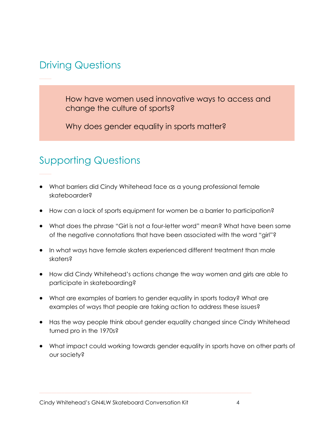### <span id="page-3-0"></span>Driving Questions

How have women used innovative ways to access and change the culture of sports?

Why does gender equality in sports matter?

### <span id="page-3-1"></span>Supporting Questions

- What barriers did Cindy Whitehead face as a young professional female skateboarder?
- How can a lack of sports equipment for women be a barrier to participation?
- What does the phrase "Girl is not a four-letter word" mean? What have been some of the negative connotations that have been associated with the word "girl"?
- In what ways have female skaters experienced different treatment than male skaters?
- How did Cindy Whitehead's actions change the way women and girls are able to participate in skateboarding?
- What are examples of barriers to gender equality in sports today? What are examples of ways that people are taking action to address these issues?
- Has the way people think about gender equality changed since Cindy Whitehead turned pro in the 1970s?
- What impact could working towards gender equality in sports have on other parts of our society?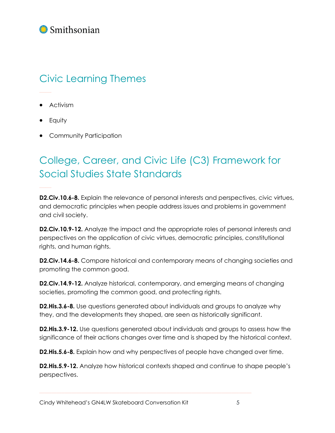### Smithsonian

## <span id="page-4-0"></span>Civic Learning Themes

- Activism
- Equity
- Community Participation

## <span id="page-4-1"></span>College, Career, and Civic Life (C3) Framework for Social Studies State Standards

**D2.Civ.10.6-8.** Explain the relevance of personal interests and perspectives, civic virtues, and democratic principles when people address issues and problems in government and civil society.

**D2.Civ.10.9-12.** Analyze the impact and the appropriate roles of personal interests and perspectives on the application of civic virtues, democratic principles, constitutional rights, and human rights.

**D2.Civ.14.6-8.** Compare historical and contemporary means of changing societies and promoting the common good.

**D2.Civ.14.9-12.** Analyze historical, contemporary, and emerging means of changing societies, promoting the common good, and protecting rights.

**D2.His.3.6-8.** Use questions generated about individuals and groups to analyze why they, and the developments they shaped, are seen as historically significant.

**D2.His.3.9-12.** Use questions generated about individuals and groups to assess how the significance of their actions changes over time and is shaped by the historical context.

**D2.His.5.6-8.** Explain how and why perspectives of people have changed over time.

**D2.His.5.9-12.** Analyze how historical contexts shaped and continue to shape people's perspectives.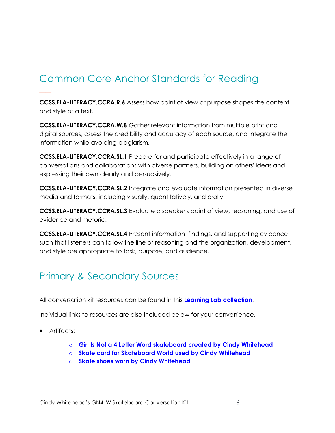## <span id="page-5-0"></span>Common Core Anchor Standards for Reading

**CCSS.ELA-LITERACY.CCRA.R.6** Assess how point of view or purpose shapes the content and style of a text.

**CCSS.ELA-LITERACY.CCRA.W.8** Gather relevant information from multiple print and digital sources, assess the credibility and accuracy of each source, and integrate the information while avoiding plagiarism.

**CCSS.ELA-LITERACY.CCRA.SL.1** Prepare for and participate effectively in a range of conversations and collaborations with diverse partners, building on others' ideas and expressing their own clearly and persuasively.

**CCSS.ELA-LITERACY.CCRA.SL.2** Integrate and evaluate information presented in diverse media and formats, including visually, quantitatively, and orally.

**CCSS.ELA-LITERACY.CCRA.SL.3** Evaluate a speaker's point of view, reasoning, and use of evidence and rhetoric.

**CCSS.ELA-LITERACY.CCRA.SL.4** Present information, findings, and supporting evidence such that listeners can follow the line of reasoning and the organization, development, and style are appropriate to task, purpose, and audience.

### <span id="page-5-1"></span>Primary & Secondary Sources

All conversation kit resources can be found in this **Learning Lab [collection](https://learninglab.si.edu/collections/cindy-whiteheads-gn4lw-skateboard-conversation-kit-resources/0HJjG7h5Dp1G8acu)**.

Individual links to resources are also included below for your convenience.

- Artifacts:
	- o **Girl Is Not a 4 Letter Word [skateboard](https://americanhistory.si.edu/collections/search/object/nmah_1451296) created by Cindy Whitehead**
	- o **Skate card for [Skateboard](https://americanhistory.si.edu/collections/search/object/nmah_1449535) World used by Cindy Whitehead**
	- o **Skate shoes worn by Cindy [Whitehead](https://americanhistory.si.edu/collections/search/object/nmah_1449532)**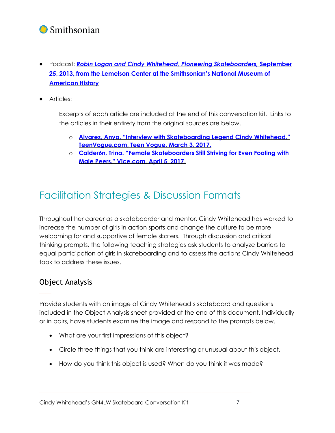

- Podcast: *Robin Logan and Cindy Whitehead, Pioneering [Skateboarders,](https://invention.si.edu/podcast-robin-logan-and-cindy-whitehead-pioneering-skateboarders)* **Septembe[r](https://invention.si.edu/podcast-robin-logan-and-cindy-whitehead-pioneering-skateboarders) 25, 2013, from the Lemelson Center at the [Smithsonian's](https://invention.si.edu/podcast-robin-logan-and-cindy-whitehead-pioneering-skateboarders) National Museum of [American](https://invention.si.edu/podcast-robin-logan-and-cindy-whitehead-pioneering-skateboarders) History**
- Articles:

Excerpts of each article are included at the end of this conversation kit. Links to the articles in their entirety from the original sources are below.

- o **Alvarez, Anya. "Interview with [Skateboarding](https://www.teenvogue.com/gallery/interview-with-skateboarding-legend-cindy-whitehead) Legend Cindy Whitehead." [TeenVogue.com,](https://www.teenvogue.com/gallery/interview-with-skateboarding-legend-cindy-whitehead) Teen Vogue, March 3, 2017.**
- o **Calderón, Trina. "Female [Skateboarders](https://www.vice.com/en_us/article/4xz44d/female-skateboarders-still-striving-for-even-footing-with-male-peers) Still Striving for Even Footing with Male Peers." [Vice.com,](https://www.vice.com/en_us/article/4xz44d/female-skateboarders-still-striving-for-even-footing-with-male-peers) April 5, 2017.**

### <span id="page-6-0"></span>Facilitation Strategies & Discussion Formats

Throughout her career as a skateboarder and mentor, Cindy Whitehead has worked to increase the number of girls in action sports and change the culture to be more welcoming for and supportive of female skaters. Through discussion and critical thinking prompts, the following teaching strategies ask students to analyze barriers to equal participation of girls in skateboarding and to assess the actions Cindy Whitehead took to address these issues.

### <span id="page-6-1"></span>Object Analysis

Provide students with an image of Cindy Whitehead's skateboard and questions included in the Object Analysis sheet provided at the end of this document. Individually or in pairs, have students examine the image and respond to the prompts below.

- What are your first impressions of this object?
- Circle three things that you think are interesting or unusual about this object.
- How do you think this object is used? When do you think it was made?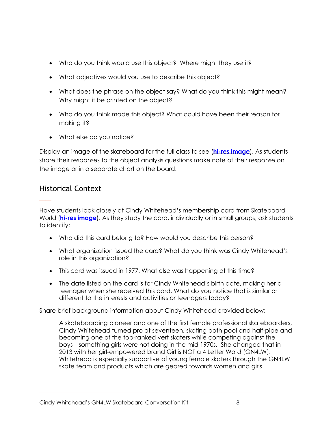- Who do you think would use this object? Where might they use it?
- What adjectives would you use to describe this object?
- What does the phrase on the object say? What do you think this might mean? Why might it be printed on the object?
- Who do you think made this object? What could have been their reason for making it?
- What else do you notice?

Display an image of the skateboard for the full class to see (**hi-res [image](https://americanhistory.si.edu/collections/search/object/nmah_1451296)**). As students share their responses to the object analysis questions make note of their response on the image or in a separate chart on the board.

### <span id="page-7-0"></span>Historical Context

Have students look closely at Cindy Whitehead's membership card from Skateboard World (**hi-res [image](https://americanhistory.si.edu/collections/search/object/nmah_1449535)**). As they study the card, individually or in small groups, ask students to identify:

- Who did this card belong to? How would you describe this person?
- What organization issued the card? What do you think was Cindy Whitehead's role in this organization?
- This card was issued in 1977. What else was happening at this time?
- The date listed on the card is for Cindy Whitehead's birth date, making her a teenager when she received this card. What do you notice that is similar or different to the interests and activities or teenagers today?

Share brief background information about Cindy Whitehead provided below:

A skateboarding pioneer and one of the first female professional skateboarders, Cindy Whitehead turned pro at seventeen, skating both pool and half-pipe and becoming one of the top-ranked vert skaters while competing against the boys—something girls were not doing in the mid-1970s. She changed that in 2013 with her girl-empowered brand Girl is NOT a 4 Letter Word (GN4LW). Whitehead is especially supportive of young female skaters through the GN4LW skate team and products which are geared towards women and girls.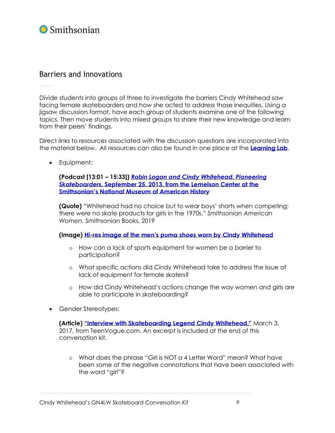

#### <span id="page-8-0"></span>Barriers and Innovations

Divide students into groups of three to investigate the barriers Cindy Whitehead saw facing female skateboarders and how she acted to address those inequities. Using a jigsaw discussion format, have each group of students examine one of the following topics. Then move students into mixed groups to share their new knowledge and learn from their peers' findings.

Direct links to resources associated with the discussion questions are incorporated into the material below. All resources can also be found in one place at the **[Learning](https://learninglab.si.edu/collections/cindy-whiteheads-gn4lw-skateboard-conversation-kit-resources/0HJjG7h5Dp1G8acu) Lab**.

• Equipment:

**(Podcast [13:01 – 15:33])** *Robin Logan and Cindy [Whitehead,](https://invention.si.edu/podcast-robin-logan-and-cindy-whitehead-pioneering-skateboarders) Pioneering [Skateboarders](https://invention.si.edu/podcast-robin-logan-and-cindy-whitehead-pioneering-skateboarders)***, September 25, 2013, from the Lemelson Center at the [Smithsonian's](https://invention.si.edu/podcast-robin-logan-and-cindy-whitehead-pioneering-skateboarders) National Museum of American History**

**(Quote)** "Whitehead had no choice but to wear boys' shorts when competing; there were no skate products for girls in the 1970s." *Smithsonian American Women,* Smithsonian Books, 2019

**(Image) Hi-res image of the men's puma shoes worn by Cindy [Whitehead](https://learninglab.si.edu/collections/cindy-whitehead-s-gn4lw-skateboard-conversation-kit-resources/0HJjG7h5Dp1G8acu#r/682484)**

- o How can a lack of sports equipment for women be a barrier to participation?
- o What specific actions did Cindy Whitehead take to address the issue of lack of equipment for female skaters?
- o How did Cindy Whitehead's actions change the way women and girls are able to participate in skateboarding?
- Gender Stereotypes:

**(Article) "Interview with [Skateboarding](https://www.teenvogue.com/gallery/interview-with-skateboarding-legend-cindy-whitehead) Legend Cindy Whitehead,"** March 3, 2017, from TeenVogue.com. An excerpt is included at the end of this conversation kit.

o What does the phrase "Girl is NOT a 4 Letter Word" mean? What have been some of the negative connotations that have been associated with the word "girl"?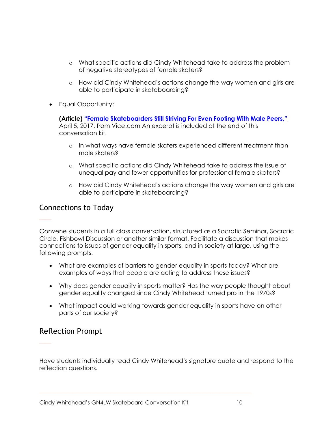- o What specific actions did Cindy Whitehead take to address the problem of negative stereotypes of female skaters?
- o How did Cindy Whitehead's actions change the way women and girls are able to participate in skateboarding?
- Equal Opportunity:

**(Article) "Female [Skateboarders](https://www.vice.com/en_us/article/4xz44d/female-skateboarders-still-striving-for-even-footing-with-male-peers) Still Striving For Even Footing With Male Peers,"** April 5, 2017, from Vice.com An excerpt is included at the end of this conversation kit.

- o In what ways have female skaters experienced different treatment than male skaters?
- o What specific actions did Cindy Whitehead take to address the issue of unequal pay and fewer opportunities for professional female skaters?
- o How did Cindy Whitehead's actions change the way women and girls are able to participate in skateboarding?

#### <span id="page-9-0"></span>Connections to Today

Convene students in a full class conversation, structured as a Socratic Seminar, Socratic Circle, Fishbowl Discussion or another similar format. Facilitate a discussion that makes connections to issues of gender equality in sports, and in society at large, using the following prompts.

- What are examples of barriers to gender equality in sports today? What are examples of ways that people are acting to address these issues?
- Why does gender equality in sports matter? Has the way people thought about gender equality changed since Cindy Whitehead turned pro in the 1970s?
- What impact could working towards gender equality in sports have on other parts of our society?

#### <span id="page-9-1"></span>Reflection Prompt

Have students individually read Cindy Whitehead's signature quote and respond to the reflection questions.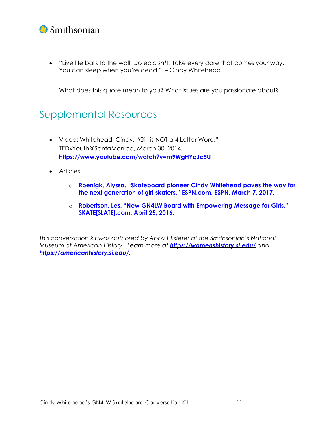### Smithsonian

• "Live life balls to the wall. Do epic sh\*t. Take every dare that comes your way. You can sleep when you're dead." – Cindy Whitehead

What does this quote mean to you? What issues are you passionate about?

### <span id="page-10-0"></span>Supplemental Resources

- Video: Whitehead, Cindy. "Girl is NOT a 4 Letter Word." TEDxYouth@SantaMonica, March 30, 2014. **<https://www.youtube.com/watch?v=m9WgHYqJc5U>**
- Articles:
	- o **Roenigk, Alyssa. ["Skateboard](https://www.espn.com/espnw/culture/story/_/id/18846779/skateboard-pioneer-cindy-whitehead-paves-way-next-generation-girl-skaters) pioneer Cindy Whitehead paves the way for the next [generation](https://www.espn.com/espnw/culture/story/_/id/18846779/skateboard-pioneer-cindy-whitehead-paves-way-next-generation-girl-skaters) of girl skaters." ESPN.com, ESPN, March 7, 2017.**
	- o **Robertson, Les. "New GN4LW Board with [Empowering](https://skateslate.com/blog/2016/04/25/new-gn4lw-board-with-empowering-message-for-girls/) Message for Girls." [SKATE\[SLATE\].com,](https://skateslate.com/blog/2016/04/25/new-gn4lw-board-with-empowering-message-for-girls/) April 25, 2016.**

*This conversation kit was authored by Abby Pfisterer at the Smithsonian's National Museum of American History. Learn more at <https://womenshistory.si.edu/> and <https://americanhistory.si.edu/>.*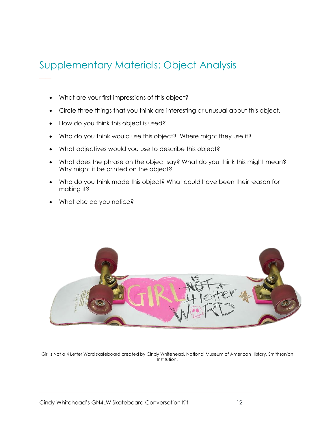### <span id="page-11-0"></span>Supplementary Materials: Object Analysis

- What are your first impressions of this object?
- Circle three things that you think are interesting or unusual about this object.
- How do you think this object is used?
- Who do you think would use this object? Where might they use it?
- What adjectives would you use to describe this object?
- What does the phrase on the object say? What do you think this might mean? Why might it be printed on the object?
- Who do you think made this object? What could have been their reason for making it?
- What else do you notice?



Girl Is Not a 4 Letter Word skateboard created by Cindy Whitehead. National Museum of American History, Smithsonian Institution.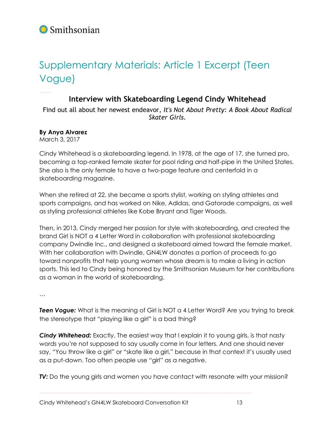

# <span id="page-12-0"></span>Supplementary Materials: Article 1 Excerpt (Teen Vogue)

#### **Interview with Skateboarding Legend Cindy Whitehead**

Find out all about her newest endeavor, *It's Not About Pretty: A Book About Radical Skater Girls*.

#### **By Anya Alvarez**

March 3, 2017

Cindy Whitehead is a skateboarding legend. In 1978, at the age of 17, she turned pro, becoming a top-ranked female skater for pool riding and half-pipe in the United States. She also is the only female to have a two-page feature and centerfold in a skateboarding magazine.

When she retired at 22, she became a sports stylist, working on styling athletes and sports campaigns, and has worked on Nike, Adidas, and Gatorade campaigns, as well as styling professional athletes like Kobe Bryant and Tiger Woods.

Then, in 2013, Cindy merged her passion for style with skateboarding, and created the brand Girl is NOT a 4 Letter Word in collaboration with professional skateboarding company Dwindle Inc., and designed a skateboard aimed toward the female market. With her collaboration with Dwindle, GN4LW donates a portion of proceeds to go toward nonprofits that help young women whose dream is to make a living in action sports. This led to Cindy being honored by the Smithsonian Museum for her contributions as a woman in the world of skateboarding.

…

**Teen Vogue:** What is the meaning of Girl is NOT a 4 Letter Word? Are you trying to break the stereotype that "playing like a girl" is a bad thing?

*Cindy Whitehead:* Exactly. The easiest way that I explain it to young girls, is that nasty words you're not supposed to say usually come in four letters. And one should never say, "You throw like a girl" or "skate like a girl," because in that context it's usually used as a put-down. Too often people use "girl" as a negative.

**TV:** Do the young girls and women you have contact with resonate with your mission?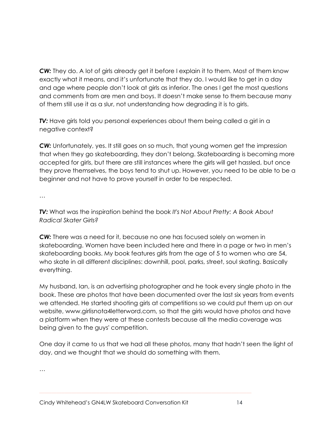*CW:* They do. A lot of girls already get it before I explain it to them. Most of them know exactly what it means, and it's unfortunate that they do. I would like to get in a day and age where people don't look at girls as inferior. The ones I get the most questions and comments from are men and boys. It doesn't make sense to them because many of them still use it as a slur, not understanding how degrading it is to girls.

*TV:* Have girls told you personal experiences about them being called a girl in a negative context?

*CW:* Unfortunately, yes. It still goes on so much, that young women get the impression that when they go skateboarding, they don't belong. Skateboarding is becoming more accepted for girls, but there are still instances where the girls will get hassled, but once they prove themselves, the boys tend to shut up. However, you need to be able to be a beginner and not have to prove yourself in order to be respected.

…

*TV:* What was the inspiration behind the book *It's Not About Pretty: A Book About Radical Skater Girls?*

*CW:* There was a need for it, because no one has focused solely on women in skateboarding. Women have been included here and there in a page or two in men's skateboarding books. My book features girls from the age of 5 to women who are 54, who skate in all different disciplines: downhill, pool, parks, street, soul skating. Basically everything.

My husband, Ian, is an advertising photographer and he took every single photo in the book. These are photos that have been documented over the last six years from events we attended. He started shooting girls at competitions so we could put them up on our website, www.girlisnota4letterword.com, so that the girls would have photos and have a platform when they were at these contests because all the media coverage was being given to the guys' competition.

One day it came to us that we had all these photos, many that hadn't seen the light of day, and we thought that we should do something with them.

…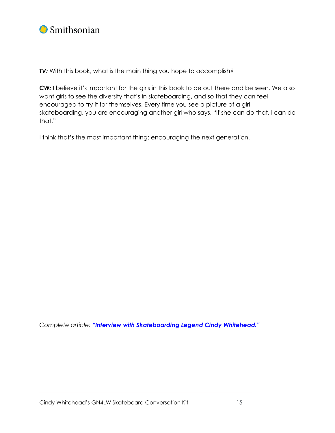

**TV:** With this book, what is the main thing you hope to accomplish?

**CW:** I believe it's important for the girls in this book to be out there and be seen. We also want girls to see the diversity that's in skateboarding, and so that they can feel encouraged to try it for themselves. Every time you see a picture of a girl skateboarding, you are encouraging another girl who says, "If she can do that, I can do that."

I think that's the most important thing: encouraging the next generation.

*Complete article: "Interview with [Skateboarding](https://www.teenvogue.com/gallery/interview-with-skateboarding-legend-cindy-whitehead) Legend Cindy Whitehead."*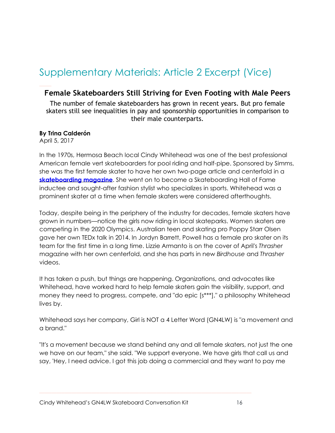# <span id="page-15-0"></span>Supplementary Materials: Article 2 Excerpt (Vice)

### **Female Skateboarders Still Striving for Even Footing with Male Peers**

The number of female skateboarders has grown in recent years. But pro female skaters still see inequalities in pay and sponsorship opportunities in comparison to their male counterparts.

#### **By Trina Calderón**

April 5, 2017

In the 1970s, Hermosa Beach local Cindy Whitehead was one of the best professional American female vert skateboarders for pool riding and half-pipe. Sponsored by Simms, she was the first female skater to have her own two-page article and centerfold in a **[skateboarding](http://www.kryptonics.com/blog/cindy-whitehead) magazine**. She went on to become a Skateboarding Hall of Fame inductee and sought-after fashion stylist who specializes in sports. Whitehead was a prominent skater at a time when female skaters were considered afterthoughts.

Today, despite being in the periphery of the industry for decades, female skaters have grown in numbers—notice the girls now riding in local skateparks. Women skaters are competing in the 2020 Olympics. Australian teen and skating pro Poppy Starr Olsen gave her own TEDx talk in 2014. In Jordyn Barrett, Powell has a female pro skater on its team for the first time in a long time. Lizzie Armanto is on the cover of April's *Thrasher* magazine with her own centerfold, and she has parts in new *Birdhouse* and *Thrasher* videos.

It has taken a push, but things are happening. Organizations, and advocates like Whitehead, have worked hard to help female skaters gain the visibility, support, and money they need to progress, compete, and "do epic [s\*\*\*]," a philosophy Whitehead lives by.

Whitehead says her company, Girl is NOT a 4 Letter Word (GN4LW) is "a movement and a brand."

"It's a movement because we stand behind any and all female skaters, not just the one we have on our team," she said. "We support everyone. We have girls that call us and say, 'Hey, I need advice. I got this job doing a commercial and they want to pay me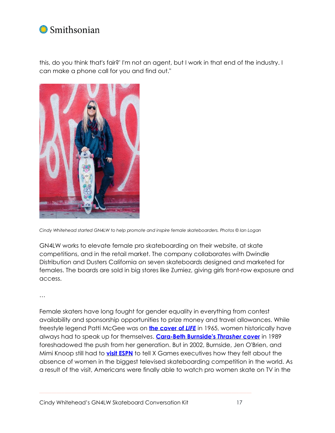

this, do you think that's fair?' I'm not an agent, but I work in that end of the industry. I can make a phone call for you and find out."



*Cindy Whitehead started GN4LW to help promote and inspire female skateboarders. Photos © Ian Logan*

GN4LW works to elevate female pro skateboarding on their website, at skate competitions, and in the retail market. The company collaborates with Dwindle Distribution and Dusters California on seven skateboards designed and marketed for females. The boards are sold in big stores like Zumiez, giving girls front-row exposure and access.

…

Female skaters have long fought for gender equality in everything from contest availability and sponsorship opportunities to prize money and travel allowances. While freestyle legend Patti McGee was on **the [cover](https://americanhistory.si.edu/collections/search/object/nmah_1448124) of** *[LIFE](https://americanhistory.si.edu/collections/search/object/nmah_1448124)* in 1965, women historically have always had to speak up for themselves. **[Cara-Beth](http://www.thrashermagazine.com/articles/magazine/august-1989/) Burnside's** *Thrasher* **cover** in 1989 foreshadowed the push from her generation. But in 2002, Burnside, Jen O'Brien, and Mimi Knoop still had to **visit [ESPN](http://patch.com/california/encinitas/cara-beth-burnside-skateboard-pioneer-continues-to-tr8957ca4861)** to tell X Games executives how they felt about the absence of women in the biggest televised skateboarding competition in the world. As a result of the visit, Americans were finally able to watch pro women skate on TV in the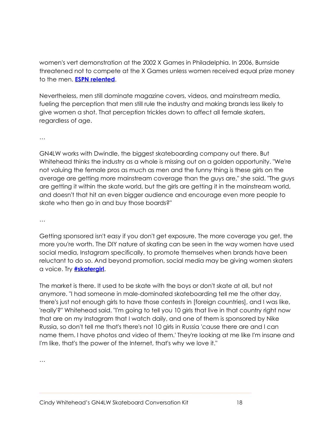women's vert demonstration at the 2002 X Games in Philadelphia. In 2006, Burnside threatened not to compete at the X Games unless women received equal prize money to the men. **ESPN [relented](http://www.espn.com/action/news/story?page=cara-beth-burnside-and-action-sports-gender-bias)**.

Nevertheless, men still dominate magazine covers, videos, and mainstream media, fueling the perception that men still rule the industry and making brands less likely to give women a shot. That perception trickles down to affect all female skaters, regardless of age.

…

GN4LW works with Dwindle, the biggest skateboarding company out there. But Whitehead thinks the industry as a whole is missing out on a golden opportunity. "We're not valuing the female pros as much as men and the funny thing is these girls on the average are getting more mainstream coverage than the guys are," she said. "The guys are getting it within the skate world, but the girls are getting it in the mainstream world, and doesn't that hit an even bigger audience and encourage even more people to skate who then go in and buy those boards?"

…

Getting sponsored isn't easy if you don't get exposure. The more coverage you get, the more you're worth. The DIY nature of skating can be seen in the way women have used social media, Instagram specifically, to promote themselves when brands have been reluctant to do so. And beyond promotion, social media may be giving women skaters a voice. Try **[#skatergirl](https://twitter.com/search?q=%23skatergirl&src=typd)**.

The market is there. It used to be skate with the boys or don't skate at all, but not anymore. "I had someone in male-dominated skateboarding tell me the other day, there's just not enough girls to have those contests in [foreign countries], and I was like, 'really'?" Whitehead said. "I'm going to tell you 10 girls that live in that country right now that are on my Instagram that I watch daily, and one of them is sponsored by Nike Russia, so don't tell me that's there's not 10 girls in Russia 'cause there are and I can name them. I have photos and video of them.' They're looking at me like I'm insane and I'm like, that's the power of the Internet, that's why we love it."

…